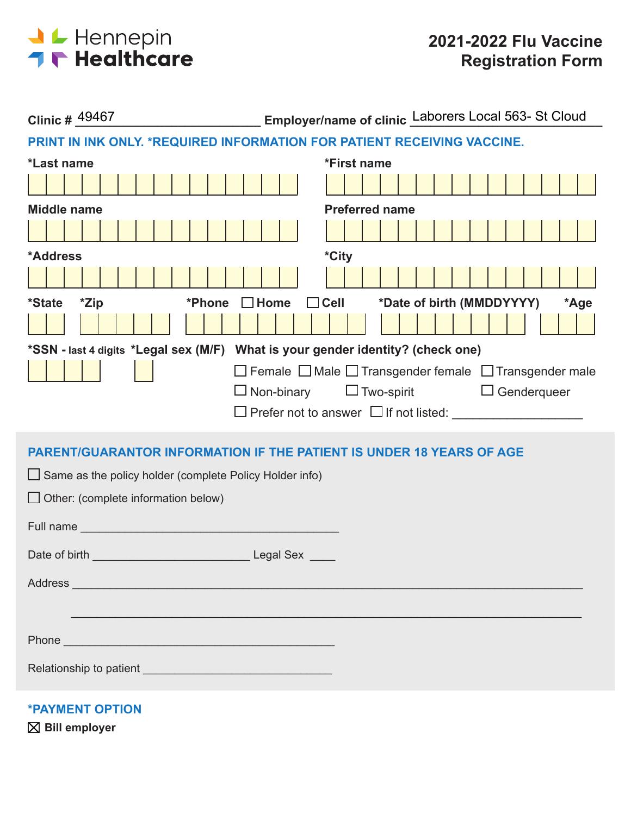

| Clinic # 49467                                                                                                                                                                                                                 | Employer/name of clinic Laborers Local 563- St Cloud                        |  |  |  |  |
|--------------------------------------------------------------------------------------------------------------------------------------------------------------------------------------------------------------------------------|-----------------------------------------------------------------------------|--|--|--|--|
|                                                                                                                                                                                                                                | PRINT IN INK ONLY. *REQUIRED INFORMATION FOR PATIENT RECEIVING VACCINE.     |  |  |  |  |
| *Last name                                                                                                                                                                                                                     | *First name                                                                 |  |  |  |  |
|                                                                                                                                                                                                                                |                                                                             |  |  |  |  |
| <b>Middle name</b>                                                                                                                                                                                                             | <b>Preferred name</b>                                                       |  |  |  |  |
|                                                                                                                                                                                                                                |                                                                             |  |  |  |  |
| *Address                                                                                                                                                                                                                       | *City                                                                       |  |  |  |  |
|                                                                                                                                                                                                                                |                                                                             |  |  |  |  |
| <i><b>*State</b></i><br>*Zip<br>*Phone                                                                                                                                                                                         | *Date of birth (MMDDYYYY)<br>$\Box$ Home<br>$\Box$ Cell<br>*Age             |  |  |  |  |
|                                                                                                                                                                                                                                |                                                                             |  |  |  |  |
| *SSN - last 4 digits *Legal sex (M/F) What is your gender identity? (check one)                                                                                                                                                |                                                                             |  |  |  |  |
|                                                                                                                                                                                                                                | $\Box$ Female $\Box$ Male $\Box$ Transgender female $\Box$ Transgender male |  |  |  |  |
|                                                                                                                                                                                                                                | $\Box$ Two-spirit $\Box$ Genderqueer<br>$\square$ Non-binary                |  |  |  |  |
|                                                                                                                                                                                                                                |                                                                             |  |  |  |  |
|                                                                                                                                                                                                                                | <b>PARENT/GUARANTOR INFORMATION IF THE PATIENT IS UNDER 18 YEARS OF AGE</b> |  |  |  |  |
| $\Box$ Same as the policy holder (complete Policy Holder info)                                                                                                                                                                 |                                                                             |  |  |  |  |
| $\Box$ Other: (complete information below)                                                                                                                                                                                     |                                                                             |  |  |  |  |
|                                                                                                                                                                                                                                |                                                                             |  |  |  |  |
| Full name support that the state of the state of the state of the state of the state of the state of the state of the state of the state of the state of the state of the state of the state of the state of the state of the  |                                                                             |  |  |  |  |
|                                                                                                                                                                                                                                |                                                                             |  |  |  |  |
| Address and the contract of the contract of the contract of the contract of the contract of the contract of the contract of the contract of the contract of the contract of the contract of the contract of the contract of th |                                                                             |  |  |  |  |
|                                                                                                                                                                                                                                |                                                                             |  |  |  |  |
|                                                                                                                                                                                                                                |                                                                             |  |  |  |  |
| Phone experience and the contract of the contract of the contract of the contract of the contract of the contract of the contract of the contract of the contract of the contract of the contract of the contract of the contr |                                                                             |  |  |  |  |
|                                                                                                                                                                                                                                |                                                                             |  |  |  |  |
|                                                                                                                                                                                                                                |                                                                             |  |  |  |  |

**\*PAYMENT OPTION**

**Bill employer**